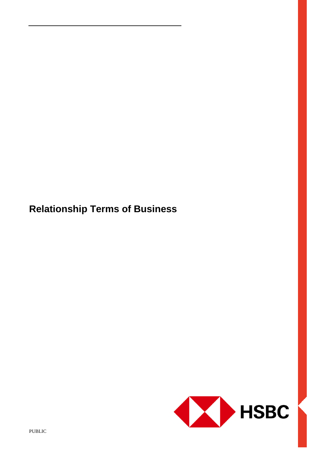**Relationship Terms of Business**

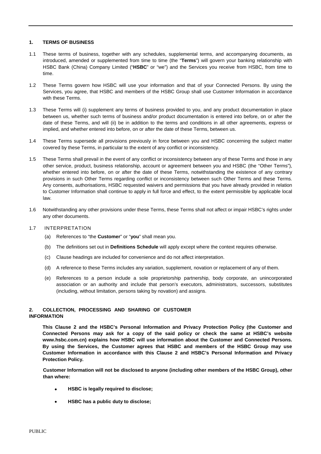### **1. TERMS OF BUSINESS**

- 1.1 These terms of business, together with any schedules, supplemental terms, and accompanying documents, as introduced, amended or supplemented from time to time (the "**Terms**") will govern your banking relationship with HSBC Bank (China) Company Limited ("**HSBC**" or "we") and the Services you receive from HSBC, from time to time.
- 1.2 These Terms govern how HSBC will use your information and that of your Connected Persons. By using the Services, you agree, that HSBC and members of the HSBC Group shall use Customer Information in accordance with these Terms.
- 1.3 These Terms will (i) supplement any terms of business provided to you, and any product documentation in place between us, whether such terms of business and/or product documentation is entered into before, on or after the date of these Terms, and will (ii) be in addition to the terms and conditions in all other agreements, express or implied, and whether entered into before, on or after the date of these Terms, between us.
- 1.4 These Terms supersede all provisions previously in force between you and HSBC concerning the subject matter covered by these Terms, in particular to the extent of any conflict or inconsistency.
- 1.5 These Terms shall prevail in the event of any conflict or inconsistency between any of these Terms and those in any other service, product, business relationship, account or agreement between you and HSBC (the "Other Terms"), whether entered into before, on or after the date of these Terms, notwithstanding the existence of any contrary provisions in such Other Terms regarding conflict or inconsistency between such Other Terms and these Terms. Any consents, authorisations, HSBC requested waivers and permissions that you have already provided in relation to Customer Information shall continue to apply in full force and effect, to the extent permissible by applicable local law.
- 1.6 Notwithstanding any other provisions under these Terms, these Terms shall not affect or impair HSBC's rights under any other documents.

#### 1.7 INTERPRETATION

- (a) References to "the **Customer**" or "**you**" shall mean you.
- (b) The definitions set out in **Definitions Schedule** will apply except where the context requires otherwise.
- (c) Clause headings are included for convenience and do not affect interpretation.
- (d) A reference to these Terms includes any variation, supplement, novation or replacement of any of them.
- (e) References to a person include a sole proprietorship partnership, body corporate, an unincorporated association or an authority and include that person's executors, administrators, successors, substitutes (including, without limitation, persons taking by novation) and assigns.

### **2. COLLECTION, PROCESSING AND SHARING OF CUSTOMER INFORMATION**

**This Clause 2 and the HSBC's Personal Information and Privacy Protection Policy (the Customer and Connected Persons may ask for a copy of the said policy or check the same at HSBC's website www.hsbc.com.cn) explains how HSBC will use information about the Customer and Connected Persons. By using the Services, the Customer agrees that HSBC and members of the HSBC Group may use Customer Information in accordance with this Clause 2 and HSBC's Personal Information and Privacy Protection Policy.**

**Customer Information will not be disclosed to anyone (including other members of the HSBC Group), other than where:**

- **HSBC is legally required to disclose;**
- **HSBC has a public duty to disclose;**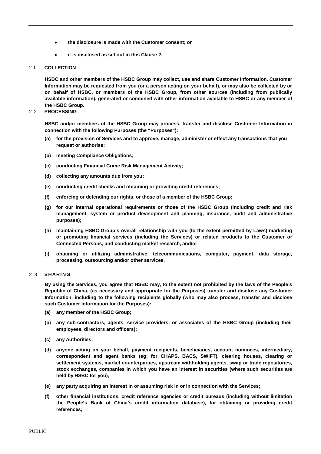- **the disclosure is made with the Customer consent; or**
- **it is disclosed as set out in this Clause 2.**

### 2.1 **COLLECTION**

**HSBC and other members of the HSBC Group may collect, use and share Customer Information. Customer Information may be requested from you (or a person acting on your behalf), or may also be collected by or on behalf of HSBC, or members of the HSBC Group, from other sources (including from publically available information), generated or combined with other information available to HSBC or any member of the HSBC Group.**

### 2.2 **PROCESSING**

**HSBC and/or members of the HSBC Group may process, transfer and disclose Customer Information in connection with the following Purposes (the "Purposes"):**

- **(a) for the provision of Services and to approve, manage, administer or effect any transactions that you request or authorise;**
- **(b) meeting Compliance Obligations;**
- **(c) conducting Financial Crime Risk Management Activity;**
- **(d) collecting any amounts due from you;**
- **(e) conducting credit checks and obtaining or providing credit references;**
- **(f) enforcing or defending our rights, or those of a member of the HSBC Group;**
- **(g) for our internal operational requirements or those of the HSBC Group (including credit and risk management, system or product development and planning, insurance, audit and administrative purposes);**
- **(h) maintaining HSBC Group's overall relationship with you (to the extent permitted by Laws) marketing or promoting financial services (including the Services) or related products to the Customer or Connected Persons, and conducting market research, and/or**
- **(i) obtaining or utilizing administrative, telecommunications, computer, payment, data storage, processing, outsourcing and/or other services.**

### 2.3 **SHARING**

**By using the Services, you agree that HSBC may, to the extent not prohibited by the laws of the People's Republic of China, (as necessary and appropriate for the Purposes) transfer and disclose any Customer Information, including to the following recipients globally (who may also process, transfer and disclose such Customer Information for the Purposes):**

- **(a) any member of the HSBC Group;**
- **(b) any sub-contractors, agents, service providers, or associates of the HSBC Group (including their employees, directors and officers);**
- **(c) any Authorities;**
- **(d) anyone acting on your behalf, payment recipients, beneficiaries, account nominees, intermediary, correspondent and agent banks (eg: for CHAPS, BACS, SWIFT), clearing houses, clearing or settlement systems, market counterparties, upstream withholding agents, swap or trade repositories, stock exchanges, companies in which you have an interest in securities (where such securities are held by HSBC for you);**
- **(e) any party acquiring an interest in or assuming risk in or in connection with the Services;**
- **(f) other financial institutions, credit reference agencies or credit bureaus (including without limitation the People's Bank of China's credit information database), for obtaining or providing credit references;**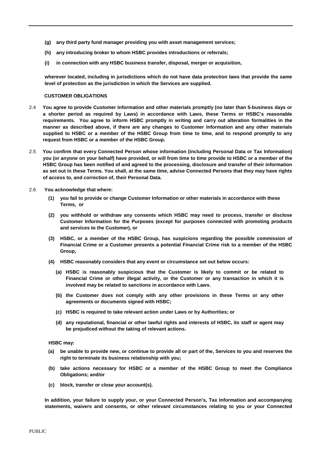- **(g) any third party fund manager providing you with asset management services;**
- **(h) any introducing broker to whom HSBC provides introductions or referrals;**
- **(i) in connection with any HSBC business transfer, disposal, merger or acquisition,**

**wherever located, including in jurisdictions which do not have data protection laws that provide the same level of protection as the jurisdiction in which the Services are supplied.**

### **CUSTOMER OBLIGATIONS**

- 2.4 **You agree to provide Customer Information and other materials promptly (no later than 5-business days or a shorter period as required by Laws) in accordance with Laws, these Terms or HSBC's reasonable requirements. You agree to inform HSBC promptly in writing and carry out alteration formalities in the manner as described above, if there are any changes to Customer Information and any other materials supplied to HSBC or a member of the HSBC Group from time to time, and to respond promptly to any request from HSBC or a member of the HSBC Group.**
- 2.5 **You confirm that every Connected Person whose information (including Personal Data or Tax Information) you (or anyone on your behalf) have provided, or will from time to time provide to HSBC or a member of the HSBC Group has been notified of and agreed to the processing, disclosure and transfer of their information as set out in these Terms. You shall, at the same time, advise Connected Persons that they may have rights of access to, and correction of, their Personal Data.**
- 2.6 **You acknowledge that where:**
	- **(1) you fail to provide or change Customer Information or other materials in accordance with these Terms, or**
	- **(2) you withhold or withdraw any consents which HSBC may need to process, transfer or disclose Customer Information for the Purposes (except for purposes connected with promoting products and services to the Customer), or**
	- **(3) HSBC, or a member of the HSBC Group, has suspicions regarding the possible commission of Financial Crime or a Customer presents a potential Financial Crime risk to a member of the HSBC Group,**
	- **(4) HSBC reasonably considers that any event or circumstance set out below occurs:**
		- **(a) HSBC is reasonably suspicious that the Customer is likely to commit or be related to Financial Crime or other illegal activity, or the Customer or any transaction in which it is involved may be related to sanctions in accordance with Laws.**
		- **(b) the Customer does not comply with any other provisions in these Terms or any other agreements or documents signed with HSBC;**
		- **(c) HSBC is required to take relevant action under Laws or by Authorities; or**
		- **(d) any reputational, financial or other lawful rights and interests of HSBC, its staff or agent may be prejudiced without the taking of relevant actions.**

### **HSBC may:**

- **(a) be unable to provide new, or continue to provide all or part of the, Services to you and reserves the right to terminate its business relationship with you;**
- **(b) take actions necessary for HSBC or a member of the HSBC Group to meet the Compliance Obligations; and/or**
- **(c) block, transfer or close your account(s).**

**In addition, your failure to supply your, or your Connected Person's, Tax Information and accompanying statements, waivers and consents, or other relevant circumstances relating to you or your Connected**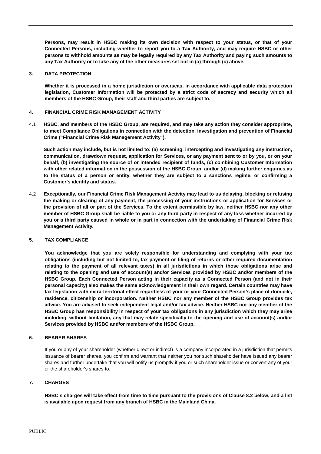**Persons, may result in HSBC making its own decision with respect to your status, or that of your Connected Persons, including whether to report you to a Tax Authority, and may require HSBC or other persons to withhold amounts as may be legally required by any Tax Authority and paying such amounts to any Tax Authority or to take any of the other measures set out in (a) through (c) above.**

### **3. DATA PROTECTION**

**Whether it is processed in a home jurisdiction or overseas, in accordance with applicable data protection legislation, Customer Information will be protected by a strict code of secrecy and security which all members of the HSBC Group, their staff and third parties are subject to.**

## **4. FINANCIAL CRIME RISK MANAGEMENT ACTIVITY**

4.1 **HSBC, and members of the HSBC Group, are required, and may take any action they consider appropriate, to meet Compliance Obligations in connection with the detection, investigation and prevention of Financial Crime ("Financial Crime Risk Management Activity").**

**Such action may include, but is not limited to: (a) screening, intercepting and investigating any instruction, communication, drawdown request, application for Services, or any payment sent to or by you, or on your behalf, (b) investigating the source of or intended recipient of funds, (c) combining Customer Information with other related information in the possession of the HSBC Group, and/or (d) making further enquiries as to the status of a person or entity, whether they are subject to a sanctions regime, or confirming a Customer's identity and status.**

4.2 **Exceptionally, our Financial Crime Risk Management Activity may lead to us delaying, blocking or refusing the making or clearing of any payment, the processing of your instructions or application for Services or the provision of all or part of the Services. To the extent permissible by law, neither HSBC nor any other member of HSBC Group shall be liable to you or any third party in respect of any loss whether incurred by you or a third party caused in whole or in part in connection with the undertaking of Financial Crime Risk Management Activity.**

# **5. TAX COMPLIANCE**

**You acknowledge that you are solely responsible for understanding and complying with your tax obligations (including but not limited to, tax payment or filing of returns or other required documentation relating to the payment of all relevant taxes) in all jurisdictions in which those obligations arise and relating to the opening and use of account(s) and/or Services provided by HSBC and/or members of the HSBC Group. Each Connected Person acting in their capacity as a Connected Person (and not in their personal capacity) also makes the same acknowledgement in their own regard. Certain countries may have tax legislation with extra-territorial effect regardless of your or your Connected Person's place of domicile, residence, citizenship or incorporation. Neither HSBC nor any member of the HSBC Group provides tax advice. You are advised to seek independent legal and/or tax advice. Neither HSBC nor any member of the HSBC Group has responsibility in respect of your tax obligations in any jurisdiction which they may arise including, without limitation, any that may relate specifically to the opening and use of account(s) and/or Services provided by HSBC and/or members of the HSBC Group.**

## **6. BEARER SHARES**

If you or any of your shareholder (whether direct or indirect) is a company incorporated in a jurisdiction that permits issuance of bearer shares, you confirm and warrant that neither you nor such shareholder have issued any bearer shares and further undertake that you will notify us promptly if you or such shareholder issue or convert any of your or the shareholder's shares to.

# **7. CHARGES**

**HSBC's charges will take effect from time to time pursuant to the provisions of Clause 8.2 below, and a list is available upon request from any branch of HSBC in the Mainland China.**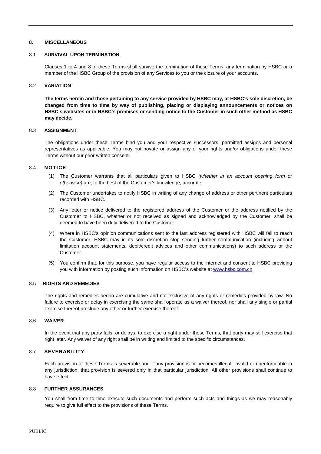### **8. MISCELLANEOUS**

### 8.1 **SURVIVAL UPON TERMINATION**

Clauses 1 to 4 and 8 of these Terms shall survive the termination of these Terms, any termination by HSBC or a member of the HSBC Group of the provision of any Services to you or the closure of your accounts.

### 8.2 **VARIATION**

**The terms herein and those pertaining to any service provided by HSBC may, at HSBC's sole discretion, be changed from time to time by way of publishing, placing or displaying announcements or notices on HSBC's websites or in HSBC's premises or sending notice to the Customer in such other method as HSBC may decide.**

### 8.3 **ASSIGNMENT**

The obligations under these Terms bind you and your respective successors, permitted assigns and personal representatives as applicable. You may not novate or assign any of your rights and/or obligations under these Terms without our prior written consent.

### 8.4 **NOTICE**

- (1) The Customer warrants that all particulars given to HSBC *(whether in an account opening form or otherwise)* are, to the best of the Customer's knowledge, accurate.
- (2) The Customer undertakes to notify HSBC in writing of any change of address or other pertinent particulars recorded with HSBC.
- (3) Any letter or notice delivered to the registered address of the Customer or the address notified by the Customer to HSBC, whether or not received as signed and acknowledged by the Customer, shall be deemed to have been duly delivered to the Customer.
- (4) Where in HSBC's opinion communications sent to the last address registered with HSBC will fail to reach the Customer, HSBC may in its sole discretion stop sending further communication (including without limitation account statements, debit/credit advices and other communications) to such address or the Customer.
- (5) You confirm that, for this purpose, you have regular access to the internet and consent to HSBC providing you with information by posting such information on HSBC's website at [www.hsbc.com.cn.](http://www.hsbc.com.cn/)

## 8.5 **RIGHTS AND REMEDIES**

The rights and remedies herein are cumulative and not exclusive of any rights or remedies provided by law. No failure to exercise or delay in exercising the same shall operate as a waiver thereof, nor shall any single or partial exercise thereof preclude any other or further exercise thereof.

## 8.6 **WAIVER**

In the event that any party fails, or delays, to exercise a right under these Terms, that party may still exercise that right later. Any waiver of any right shall be in writing and limited to the specific circumstances.

## 8.7 **SEVERABILITY**

Each provision of these Terms is severable and if any provision is or becomes illegal, invalid or unenforceable in any jurisdiction, that provision is severed only in that particular jurisdiction. All other provisions shall continue to have effect.

### 8.8 **FURTHER ASSURANCES**

You shall from time to time execute such documents and perform such acts and things as we may reasonably require to give full effect to the provisions of these Terms.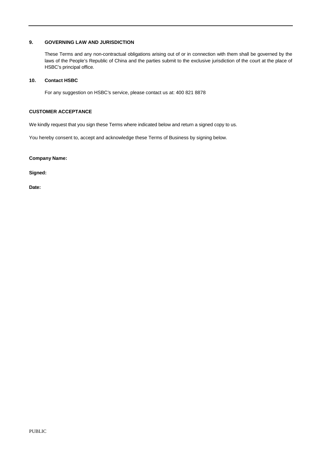## **9. GOVERNING LAW AND JURISDICTION**

These Terms and any non-contractual obligations arising out of or in connection with them shall be governed by the laws of the People's Republic of China and the parties submit to the exclusive jurisdiction of the court at the place of HSBC's principal office*.*

## **10. Contact HSBC**

For any suggestion on HSBC's service, please contact us at: 400 821 8878

## **CUSTOMER ACCEPTANCE**

We kindly request that you sign these Terms where indicated below and return a signed copy to us.

You hereby consent to, accept and acknowledge these Terms of Business by signing below.

**Company Name:**

**Signed:**

**Date:**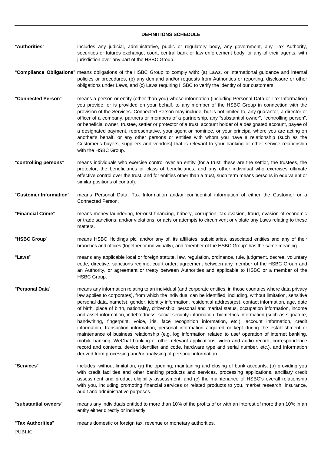#### **DEFINITIONS SCHEDULE**

- "**Authorities**" includes any judicial, administrative, public or regulatory body, any government, any Tax Authority, securities or futures exchange, court, central bank or law enforcement body, or any of their agents, with jurisdiction over any part of the HSBC Group.
- "**Compliance Obligations**" means obligations of the HSBC Group to comply with: (a) Laws, or international guidance and internal policies or procedures, (b) any demand and/or requests from Authorities or reporting, disclosure or other obligations under Laws, and (c) Laws requiring HSBC to verify the identity of our customers.
- "**Connected Person**" means a person or entity (other than you) whose information (including Personal Data or Tax Information) you provide, or is provided on your behalf, to any member of the HSBC Group in connection with the provision of the Services. Connected Person may include, but is not limited to, any guarantor, a director or officer of a company, partners or members of a partnership, any "substantial owner", "controlling person", or beneficial owner, trustee, settler or protector of a trust, account holder of a designated account, payee of a designated payment, representative, your agent or nominee, or your principal where you are acting on another's behalf, or any other persons or entities with whom you have a relationship (such as the Customer's buyers, suppliers and vendors) that is relevant to your banking or other service relationship with the HSBC Group.
- "**controlling persons**" means individuals who exercise control over an entity (for a trust, these are the settlor, the trustees, the protector, the beneficiaries or class of beneficiaries, and any other individual who exercises ultimate effective control over the trust, and for entities other than a trust, such term means persons in equivalent or similar positions of control).
- "**Customer Information**" means Personal Data, Tax Information and/or confidential information of either the Customer or a Connected Person.
- "**Financial Crime**" means money laundering, terrorist financing, bribery, corruption, tax evasion, fraud, evasion of economic or trade sanctions, and/or violations, or acts or attempts to circumvent or violate any Laws relating to these matters.
- "**HSBC Group**" means HSBC Holdings plc, and/or any of, its affiliates, subsidiaries, associated entities and any of their branches and offices (together or individually), and "member of the HSBC Group" has the same meaning.
- "**Laws**" means any applicable local or foreign statute, law, regulation, ordinance, rule, judgment, decree, voluntary code, directive, sanctions regime, court order, agreement between any member of the HSBC Group and an Authority, or agreement or treaty between Authorities and applicable to HSBC or a member of the HSBC Group.
- "**Personal Data**" means any information relating to an individual (and corporate entities, in those countries where data privacy law applies to corporates), from which the individual can be identified, including, without limitation, sensitive personal data, name(s), gender, identity information, residential address(es), contact information, age, date of birth, place of birth, nationality, citizenship, personal and marital status, occupation information, income and asset information, indebtedness, social security information, biometrics information (such as signature, handwriting, fingerprint, voice, iris, face recognition information, etc.), account information, credit information, transaction information, personal information acquired or kept during the establishment or maintenance of business relationship (e.g. log information related to use/ operation of internet banking, mobile banking, WeChat banking or other relevant applications, video and audio record, correspondence record and contents, device identifier and code, hardware type and serial number, etc.), and information derived from processing and/or analysing of personal information.
- "**Services**" includes, without limitation, (a) the opening, maintaining and closing of bank accounts, (b) providing you with credit facilities and other banking products and services, processing applications, ancillary credit assessment and product eligibility assessment, and (c) the maintenance of HSBC's overall relationship with you, including promoting financial services or related products to you, market research, insurance, audit and administrative purposes.
- "**substantial owners**" means any individuals entitled to more than 10% of the profits of or with an interest of more than 10% in an entity either directly or indirectly.
- "**Tax Authorities**" means domestic or foreign tax, revenue or monetary authorities.